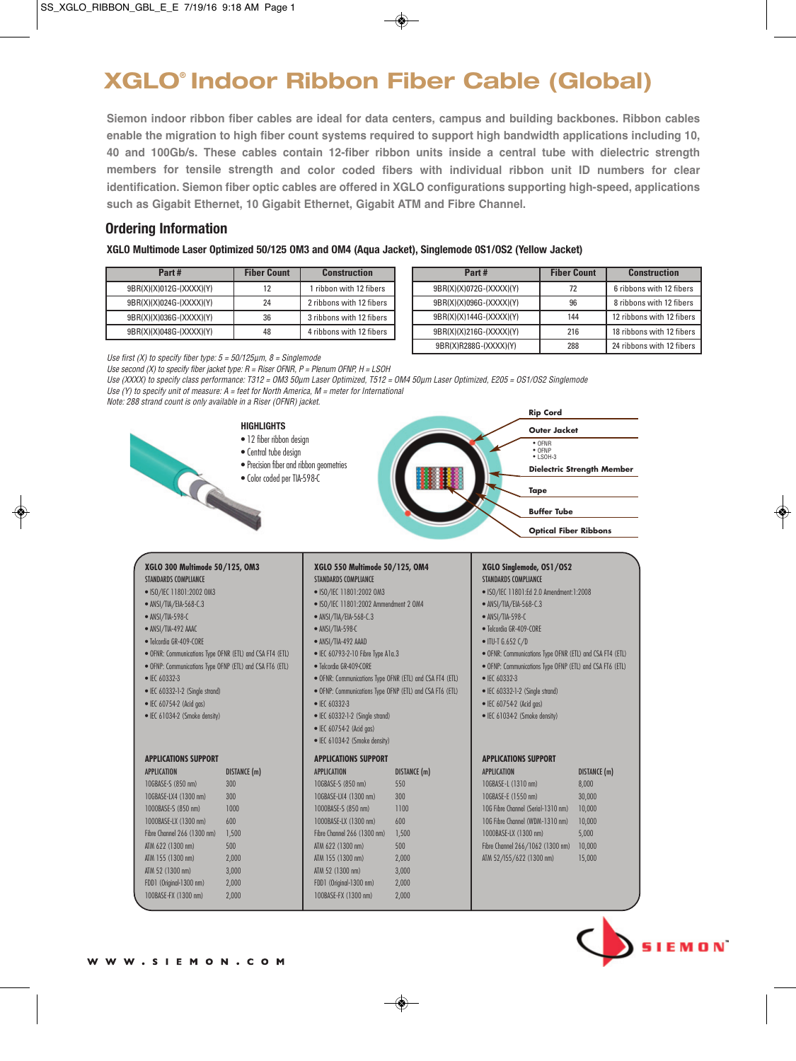# **XGLO® Indoor Ribbon Fiber Cable (Global)**

**Siemon indoor ribbon fiber cables are ideal for data centers, campus and building backbones. Ribbon cables enable the migration to high fiber count systems required to support high bandwidth applications including 10, 40 and 100Gb/s. These cables contain 12-fiber ribbon units inside a central tube with dielectric strength members for tensile strength and color coded fibers with individual ribbon unit ID numbers for clear identification. Siemon fiber optic cables are offered in XGLO configurations supporting high-speed, applications such as Gigabit Ethernet, 10 Gigabit Ethernet, Gigabit ATM and Fibre Channel.**

## **Ordering Information**

**XGLO Multimode Laser Optimized 50/125 OM3 and OM4 (Aqua Jacket), Singlemode 0S1/OS2 (Yellow Jacket)**

| Part#                   | <b>Fiber Count</b> | <b>Construction</b>      |
|-------------------------|--------------------|--------------------------|
| 9BR(X)(X)012G-(XXXX)(Y) | 12                 | 1 ribbon with 12 fibers  |
| 9BR(X)(X)024G-(XXXX)(Y) | 24                 | 2 ribbons with 12 fibers |
| 9BR(X)(X)036G-(XXXX)(Y) | 36                 | 3 ribbons with 12 fibers |
| 9BR(X)(X)048G-(XXXX)(Y) | 48                 | 4 ribbons with 12 fibers |

| Part#                   | <b>Fiber Count</b> | <b>Construction</b>       |
|-------------------------|--------------------|---------------------------|
| 9BR(X)(X)072G-(XXXX)(Y) | 72                 | 6 ribbons with 12 fibers  |
| 9BR(X)(X)096G-(XXXX)(Y) | 96                 | 8 ribbons with 12 fibers  |
| 9BR(X)(X)144G-(XXXX)(Y) | 144                | 12 ribbons with 12 fibers |
| 9BR(X)(X)216G-(XXXX)(Y) | 216                | 18 ribbons with 12 fibers |
| 9BR(X)R288G-(XXXX)(Y)   | 288                | 24 ribbons with 12 fibers |

**Rip Cord**

Use first (X) to specify fiber type:  $5 = 50/125 \mu m$ ,  $8 =$  Singlemode

Use second (X) to specify fiber jacket type:  $R =$  Riser OFNR,  $P =$  Plenum OFNP,  $H =$  LSOH

Use (XXXX) to specify class performance: T312 = OM3 50µm Laser Optimized, T512 = OM4 50µm Laser Optimized, E205 = OS1/OS2 Singlemode Use (Y) to specify unit of measure:  $A =$  feet for North America,  $M =$  meter for International

Note: 288 strand count is only available in a Riser (OFNR) jacket.



#### **APPLICATIONS SUPPORT**

| <b>APPLICATION</b>          | DISTANCE (m) |
|-----------------------------|--------------|
| 10GBASE-S (850 nm)          | 300          |
| 10GBASE-LX4 (1300 nm)       | 300          |
| 1000BASE-S (850 nm)         | 1000         |
| 1000BASE-LX (1300 nm)       | 600          |
| Fibre Channel 266 (1300 nm) | 1,500        |
| ATM 622 (1300 nm)           | 500          |
| ATM 155 (1300 nm)           | 2,000        |
| ATM 52 (1300 nm)            | 3,000        |
| FDD1 (Original-1300 nm)     | 2,000        |
| 100BASE-FX (1300 nm)        | 2.000        |

- 
- IEC 60754-2 (Acid gas)
- IEC 61034-2 (Smoke density)

#### **APPLICATIONS SUPPORT**

| <b>APPLICATION</b>          | DISTANCE (m) |
|-----------------------------|--------------|
| 10GBASE-S (850 nm)          | 550          |
| 10GBASE-LX4 (1300 nm)       | 300          |
| 1000BASE-S (850 nm)         | 1100         |
| 1000BASE-LX (1300 nm)       | 600          |
| Fibre Channel 266 (1300 nm) | 1.500        |
| ATM 622 (1300 nm)           | 500          |
| ATM 155 (1300 nm)           | 2,000        |
| ATM 52 (1300 nm)            | 3,000        |
| FDD1 (Original-1300 nm)     | 2,000        |
| 100BASE-FX (1300 nm)        | 2.000        |

#### **APPLICATIONS SUPPORT**

| <b>APPLICATION</b>                 | <b>DISTANCE</b> (m) |
|------------------------------------|---------------------|
| 10GBASE-L (1310 nm)                | 8,000               |
| 10GBASE-E (1550 nm)                | 30,000              |
| 10G Fibre Channel (Serial-1310 nm) | 10,000              |
| 10G Fibre Channel (WDM-1310 nm)    | 10.000              |
| 1000BASE-LX (1300 nm)              | 5,000               |
| Fibre Channel 266/1062 (1300 nm)   | 10.000              |
| ATM 52/155/622 (1300 nm)           | 15,000              |
|                                    |                     |